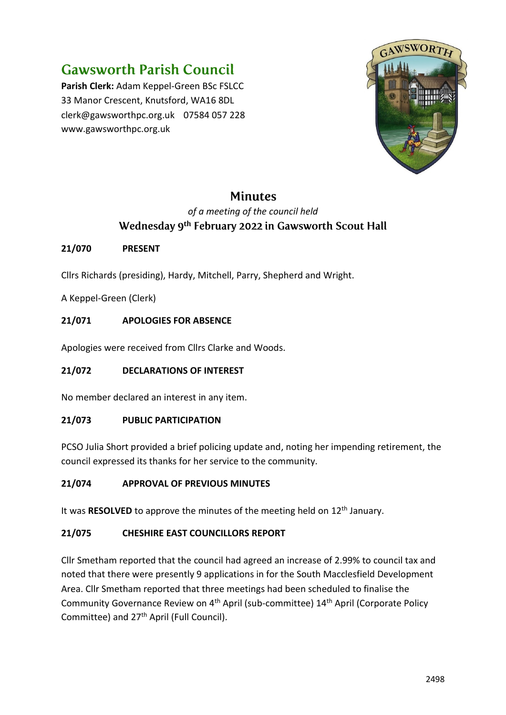# **Gawsworth Parish Council**

**Parish Clerk:** Adam Keppel-Green BSc FSLCC 33 Manor Crescent, Knutsford, WA16 8DL clerk@gawsworthpc.org.uk 07584 057 228 www.gawsworthpc.org.uk



## **Minutes**

## *of a meeting of the council held* Wednesday 9<sup>th</sup> February 2022 in Gawsworth Scout Hall

## **21/070 PRESENT**

Cllrs Richards (presiding), Hardy, Mitchell, Parry, Shepherd and Wright.

A Keppel-Green (Clerk)

## **21/071 APOLOGIES FOR ABSENCE**

Apologies were received from Cllrs Clarke and Woods.

#### **21/072 DECLARATIONS OF INTEREST**

No member declared an interest in any item.

#### **21/073 PUBLIC PARTICIPATION**

PCSO Julia Short provided a brief policing update and, noting her impending retirement, the council expressed its thanks for her service to the community.

#### **21/074 APPROVAL OF PREVIOUS MINUTES**

It was **RESOLVED** to approve the minutes of the meeting held on 12<sup>th</sup> January.

#### **21/075 CHESHIRE EAST COUNCILLORS REPORT**

Cllr Smetham reported that the council had agreed an increase of 2.99% to council tax and noted that there were presently 9 applications in for the South Macclesfield Development Area. Cllr Smetham reported that three meetings had been scheduled to finalise the Community Governance Review on 4th April (sub-committee) 14th April (Corporate Policy Committee) and 27<sup>th</sup> April (Full Council).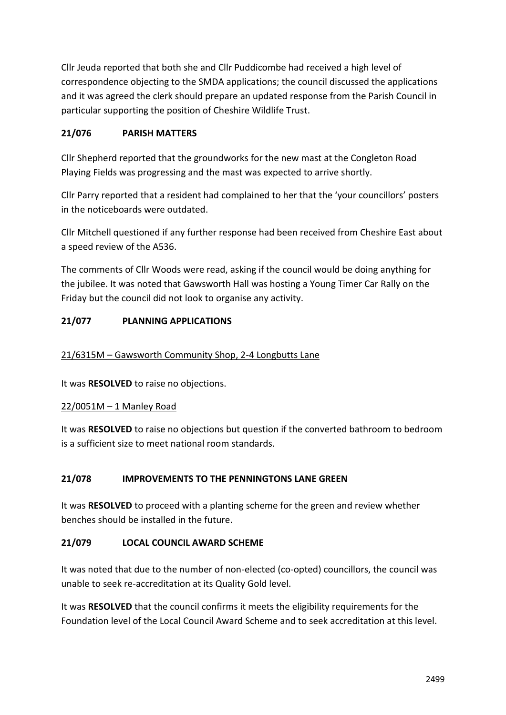Cllr Jeuda reported that both she and Cllr Puddicombe had received a high level of correspondence objecting to the SMDA applications; the council discussed the applications and it was agreed the clerk should prepare an updated response from the Parish Council in particular supporting the position of Cheshire Wildlife Trust.

## **21/076 PARISH MATTERS**

Cllr Shepherd reported that the groundworks for the new mast at the Congleton Road Playing Fields was progressing and the mast was expected to arrive shortly.

Cllr Parry reported that a resident had complained to her that the 'your councillors' posters in the noticeboards were outdated.

Cllr Mitchell questioned if any further response had been received from Cheshire East about a speed review of the A536.

The comments of Cllr Woods were read, asking if the council would be doing anything for the jubilee. It was noted that Gawsworth Hall was hosting a Young Timer Car Rally on the Friday but the council did not look to organise any activity.

## **21/077 PLANNING APPLICATIONS**

## 21/6315M – Gawsworth Community Shop, 2-4 Longbutts Lane

It was **RESOLVED** to raise no objections.

## 22/0051M – 1 Manley Road

It was **RESOLVED** to raise no objections but question if the converted bathroom to bedroom is a sufficient size to meet national room standards.

## **21/078 IMPROVEMENTS TO THE PENNINGTONS LANE GREEN**

It was **RESOLVED** to proceed with a planting scheme for the green and review whether benches should be installed in the future.

## **21/079 LOCAL COUNCIL AWARD SCHEME**

It was noted that due to the number of non-elected (co-opted) councillors, the council was unable to seek re-accreditation at its Quality Gold level.

It was **RESOLVED** that the council confirms it meets the eligibility requirements for the Foundation level of the Local Council Award Scheme and to seek accreditation at this level.